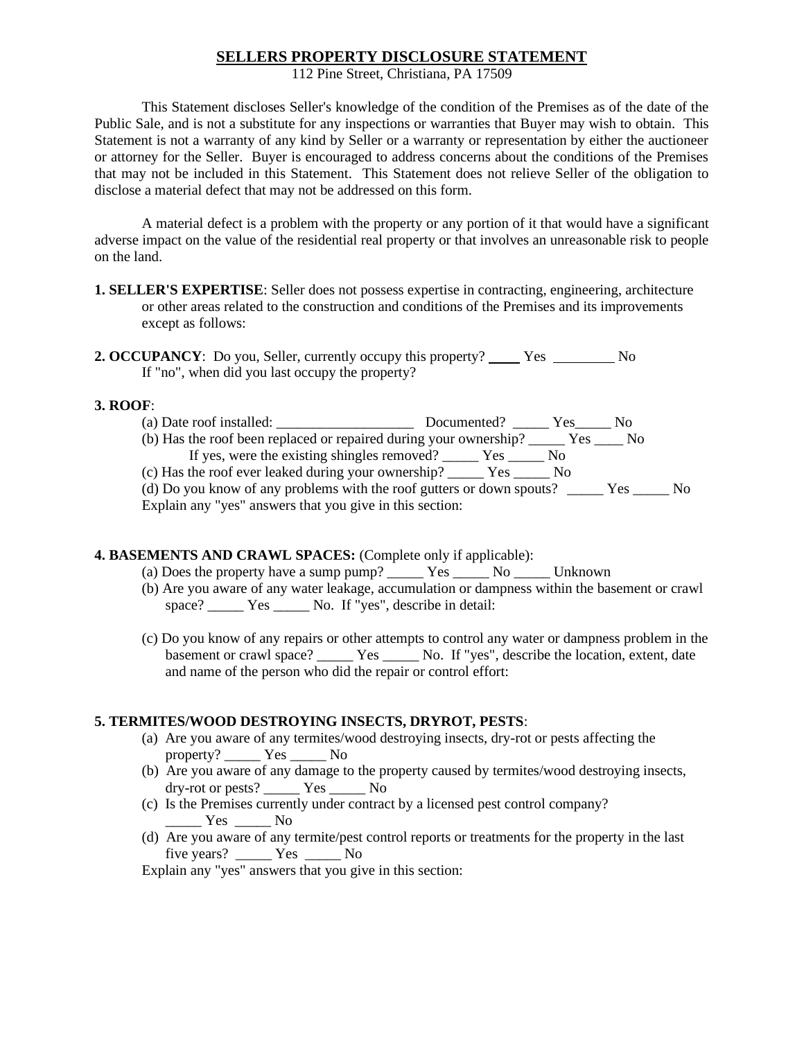# **SELLERS PROPERTY DISCLOSURE STATEMENT**

112 Pine Street, Christiana, PA 17509

This Statement discloses Seller's knowledge of the condition of the Premises as of the date of the Public Sale, and is not a substitute for any inspections or warranties that Buyer may wish to obtain. This Statement is not a warranty of any kind by Seller or a warranty or representation by either the auctioneer or attorney for the Seller. Buyer is encouraged to address concerns about the conditions of the Premises that may not be included in this Statement. This Statement does not relieve Seller of the obligation to disclose a material defect that may not be addressed on this form.

A material defect is a problem with the property or any portion of it that would have a significant adverse impact on the value of the residential real property or that involves an unreasonable risk to people on the land.

- **1. SELLER'S EXPERTISE**: Seller does not possess expertise in contracting, engineering, architecture or other areas related to the construction and conditions of the Premises and its improvements except as follows:
- **2. OCCUPANCY**: Do you, Seller, currently occupy this property? Yes No If "no", when did you last occupy the property?

### **3. ROOF**:

(a) Date roof installed: \_\_\_\_\_\_\_\_\_\_\_\_\_\_\_\_\_\_\_ Documented? \_\_\_\_\_ Yes\_\_\_\_\_ No (b) Has the roof been replaced or repaired during your ownership? \_\_\_\_\_ Yes \_\_\_\_ No If yes, were the existing shingles removed? \_\_\_\_\_ Yes \_\_\_\_\_ No (c) Has the roof ever leaked during your ownership? \_\_\_\_\_ Yes \_\_\_\_\_ No

(d) Do you know of any problems with the roof gutters or down spouts? \_\_\_\_\_ Yes \_\_\_\_\_ No Explain any "yes" answers that you give in this section:

## **4. BASEMENTS AND CRAWL SPACES:** (Complete only if applicable):

- (a) Does the property have a sump pump?  $\frac{1}{\sqrt{1-\frac{1}{n}}}$  Yes  $\frac{1}{\sqrt{1-\frac{1}{n}}}$  Unknown
- (b) Are you aware of any water leakage, accumulation or dampness within the basement or crawl space? Yes No. If "yes", describe in detail:
- (c) Do you know of any repairs or other attempts to control any water or dampness problem in the basement or crawl space? \_\_\_\_\_ Yes \_\_\_\_\_ No. If "yes", describe the location, extent, date and name of the person who did the repair or control effort:

## **5. TERMITES/WOOD DESTROYING INSECTS, DRYROT, PESTS**:

- (a) Are you aware of any termites/wood destroying insects, dry-rot or pests affecting the property? \_\_\_\_\_ Yes \_\_\_\_\_ No
- (b) Are you aware of any damage to the property caused by termites/wood destroying insects, dry-rot or pests? Yes No
- (c) Is the Premises currently under contract by a licensed pest control company?  $\frac{Y_{\text{res}}}{Y_{\text{res}}}$  No
- (d) Are you aware of any termite/pest control reports or treatments for the property in the last five years? \_\_\_\_\_ Yes \_\_\_\_\_ No

Explain any "yes" answers that you give in this section: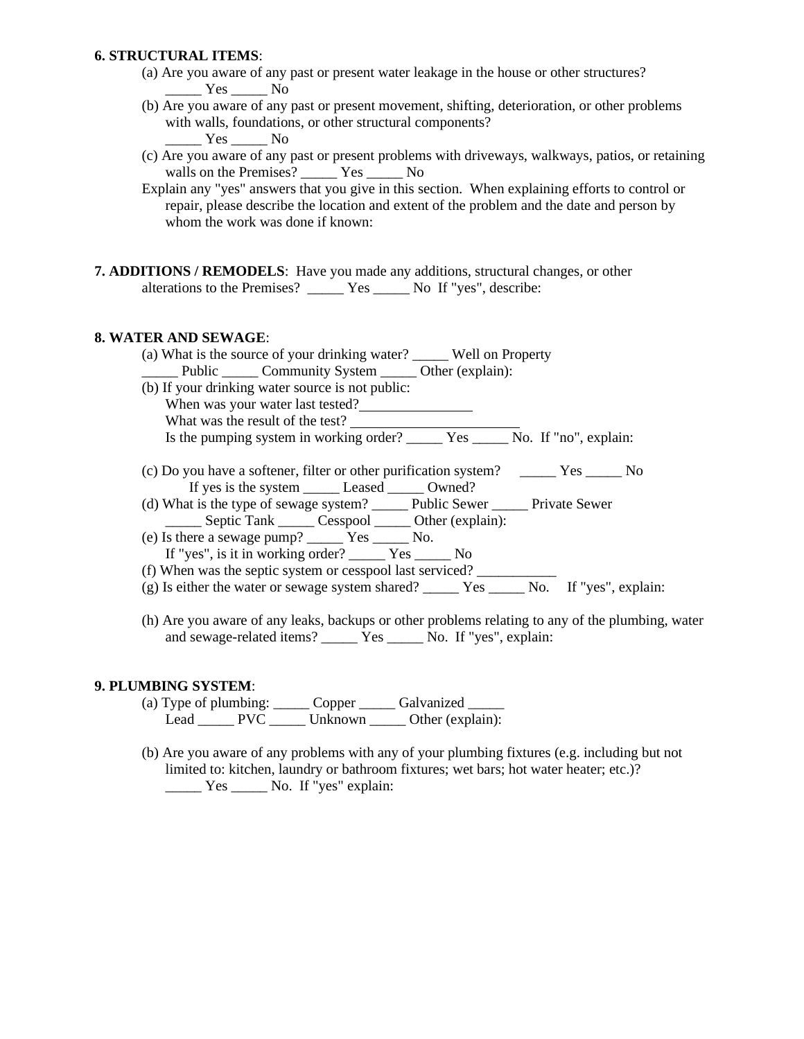### **6. STRUCTURAL ITEMS**:

- (a) Are you aware of any past or present water leakage in the house or other structures?  $Yes$  No
- (b) Are you aware of any past or present movement, shifting, deterioration, or other problems with walls, foundations, or other structural components? Yes No
- (c) Are you aware of any past or present problems with driveways, walkways, patios, or retaining walls on the Premises? \_\_\_\_\_\_ Yes \_\_\_\_\_ No
- Explain any "yes" answers that you give in this section. When explaining efforts to control or repair, please describe the location and extent of the problem and the date and person by whom the work was done if known:
- **7. ADDITIONS / REMODELS**: Have you made any additions, structural changes, or other alterations to the Premises? \_\_\_\_\_ Yes \_\_\_\_\_ No If "yes", describe:

### **8. WATER AND SEWAGE**:

(a) What is the source of your drinking water? \_\_\_\_\_ Well on Property Public Community System Other (explain): (b) If your drinking water source is not public: When was your water last tested? What was the result of the test? Is the pumping system in working order? \_\_\_\_\_\_ Yes \_\_\_\_\_\_ No. If "no", explain: (c) Do you have a softener, filter or other purification system? \_\_\_\_\_ Yes \_\_\_\_\_ No If yes is the system \_\_\_\_\_ Leased \_\_\_\_\_ Owned? (d) What is the type of sewage system? \_\_\_\_\_ Public Sewer \_\_\_\_\_ Private Sewer \_\_\_\_\_ Septic Tank \_\_\_\_\_ Cesspool \_\_\_\_\_ Other (explain): (e) Is there a sewage pump? \_\_\_\_\_ Yes \_\_\_\_\_ No. If "yes", is it in working order? \_\_\_\_\_ Yes \_\_\_\_\_ No (f) When was the septic system or cesspool last serviced? \_\_\_\_\_\_\_\_\_\_\_ (g) Is either the water or sewage system shared? \_\_\_\_\_ Yes \_\_\_\_\_ No. If "yes", explain: (h) Are you aware of any leaks, backups or other problems relating to any of the plumbing, water and sewage-related items? <br> Yes \_\_\_\_\_ No. If "yes", explain:

## **9. PLUMBING SYSTEM**:

- (a) Type of plumbing: \_\_\_\_\_\_ Copper \_\_\_\_\_\_ Galvanized \_\_\_\_\_\_ Lead \_\_\_\_\_\_ PVC \_\_\_\_\_\_ Unknown \_\_\_\_\_ Other (explain):
- (b) Are you aware of any problems with any of your plumbing fixtures (e.g. including but not limited to: kitchen, laundry or bathroom fixtures; wet bars; hot water heater; etc.)? \_\_\_\_\_ Yes \_\_\_\_\_ No. If "yes" explain: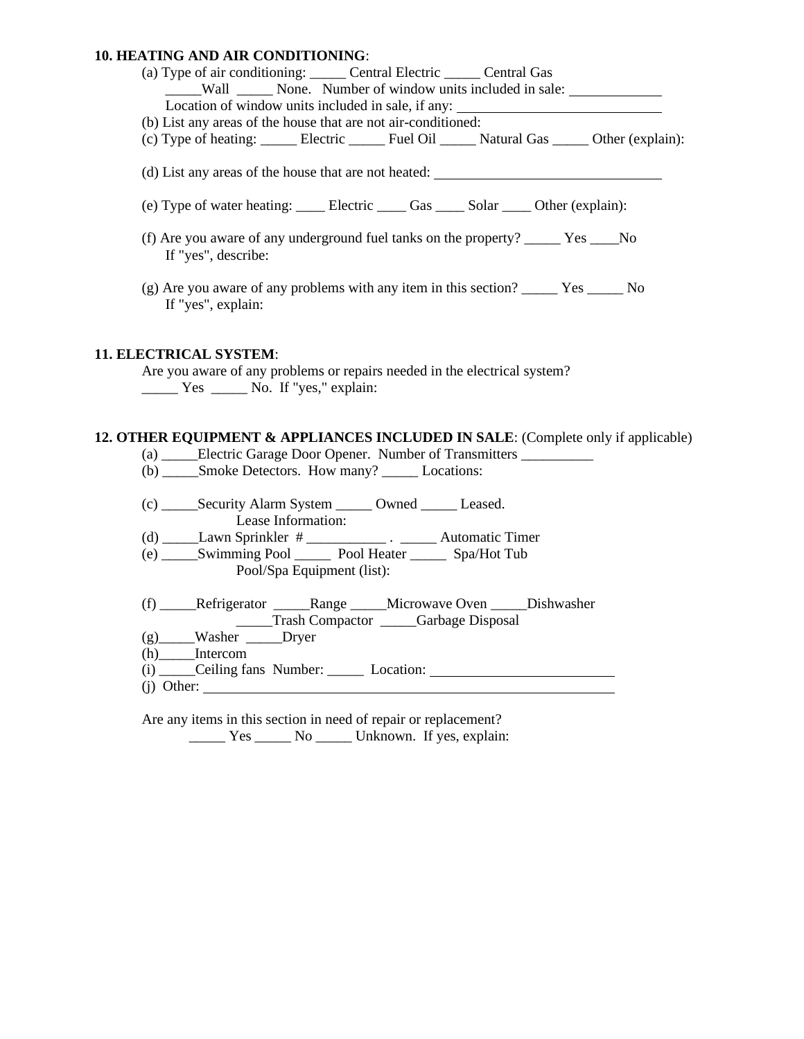#### **10. HEATING AND AIR CONDITIONING**:

| <b>10. HEATING AND AIR CONDITIONING:</b>                                         |                                                                                                                                     |  |  |  |
|----------------------------------------------------------------------------------|-------------------------------------------------------------------------------------------------------------------------------------|--|--|--|
|                                                                                  | (a) Type of air conditioning: ______ Central Electric ______ Central Gas                                                            |  |  |  |
|                                                                                  | Wall ________ None. Number of window units included in sale:                                                                        |  |  |  |
|                                                                                  | Location of window units included in sale, if any:                                                                                  |  |  |  |
|                                                                                  | (b) List any areas of the house that are not air-conditioned:                                                                       |  |  |  |
|                                                                                  | (c) Type of heating: ________ Electric ________ Fuel Oil _______ Natural Gas ______ Other (explain):                                |  |  |  |
|                                                                                  | (d) List any areas of the house that are not heated:                                                                                |  |  |  |
|                                                                                  | (e) Type of water heating: ______ Electric ______ Gas ______ Solar _____ Other (explain):                                           |  |  |  |
| If "yes", describe:                                                              | (f) Are you aware of any underground fuel tanks on the property? _______ Yes _____No                                                |  |  |  |
| If "yes", explain:                                                               | (g) Are you aware of any problems with any item in this section? ________ Yes _______ No                                            |  |  |  |
| <b>11. ELECTRICAL SYSTEM:</b>                                                    | Are you aware of any problems or repairs needed in the electrical system?<br>$\frac{1}{1}$ Yes $\frac{1}{1}$ No. If "yes," explain: |  |  |  |
| 12. OTHER EQUIPMENT & APPLIANCES INCLUDED IN SALE: (Complete only if applicable) |                                                                                                                                     |  |  |  |
| (a) _____Electric Garage Door Opener. Number of Transmitters ___________         |                                                                                                                                     |  |  |  |
|                                                                                  | (b) ______Smoke Detectors. How many? __________ Locations:                                                                          |  |  |  |
|                                                                                  | (c) _______Security Alarm System ________ Owned ________ Leased.<br>Lease Information:                                              |  |  |  |
|                                                                                  | (d) $\frac{\phantom{+}}{\phantom{+}}$ Lawn Sprinkler # $\phantom{+}\frac{\phantom{+}}{\phantom{+}}$ Automatic Timer                 |  |  |  |
|                                                                                  | (e) Swimming Pool Superconnel Pool Heater Spa/Hot Tub<br>Pool/Spa Equipment (list):                                                 |  |  |  |
|                                                                                  | (f) ______Refrigerator _________Range _______Microwave Oven ______Dishwasher                                                        |  |  |  |

\_\_\_\_\_Trash Compactor \_\_\_\_\_Garbage Disposal

(g)\_\_\_\_\_Washer \_\_\_\_\_Dryer

(h)\_\_\_\_\_Intercom

**11.** 

(i) \_\_\_\_\_Ceiling fans Number: \_\_\_\_\_ Location: (j) Other:

Are any items in this section in need of repair or replacement? \_\_\_\_\_ Yes \_\_\_\_\_ No \_\_\_\_\_ Unknown. If yes, explain: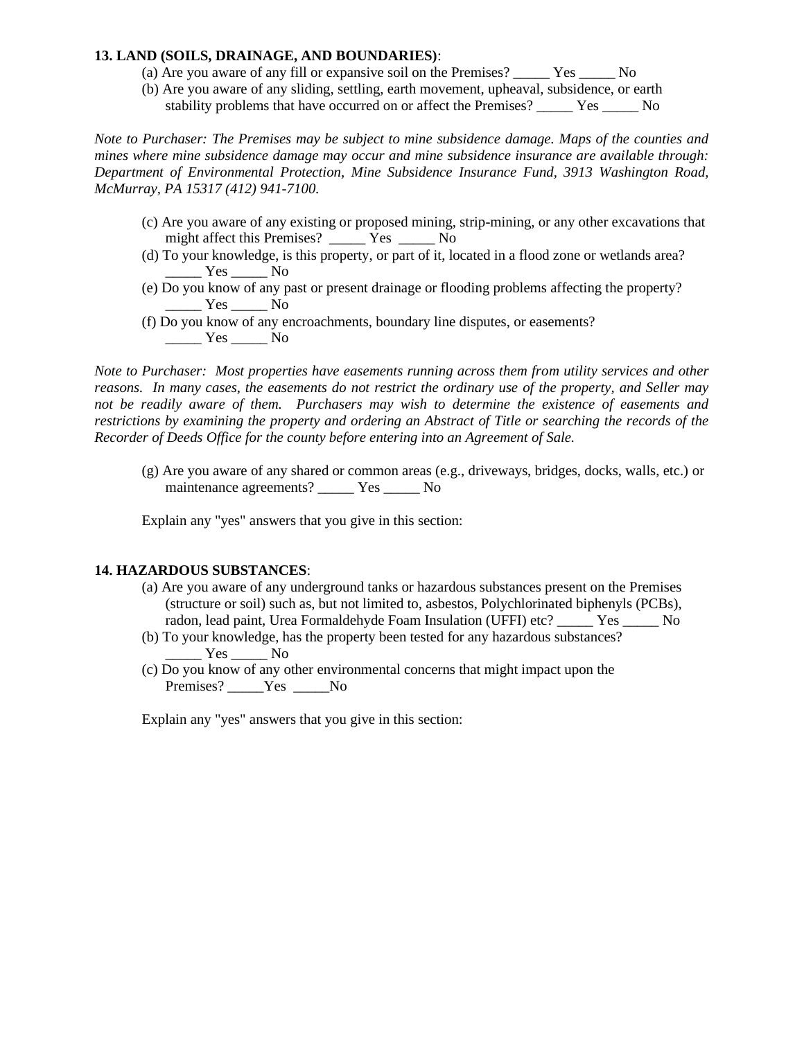## **13. LAND (SOILS, DRAINAGE, AND BOUNDARIES)**:

- (a) Are you aware of any fill or expansive soil on the Premises? \_\_\_\_\_ Yes \_\_\_\_\_ No
- (b) Are you aware of any sliding, settling, earth movement, upheaval, subsidence, or earth stability problems that have occurred on or affect the Premises? \_\_\_\_\_ Yes \_\_\_\_\_ No

*Note to Purchaser: The Premises may be subject to mine subsidence damage. Maps of the counties and mines where mine subsidence damage may occur and mine subsidence insurance are available through: Department of Environmental Protection, Mine Subsidence Insurance Fund, 3913 Washington Road, McMurray, PA 15317 (412) 941-7100.* 

- (c) Are you aware of any existing or proposed mining, strip-mining, or any other excavations that might affect this Premises?  $\overline{Y}$ es No
- (d) To your knowledge, is this property, or part of it, located in a flood zone or wetlands area?  $\frac{Y_{\text{es}}}{Y_{\text{es}}}$  No
- (e) Do you know of any past or present drainage or flooding problems affecting the property?  $\frac{\text{Yes}}{\text{Yes}}$  No
- (f) Do you know of any encroachments, boundary line disputes, or easements?  $Yes$  No

*Note to Purchaser: Most properties have easements running across them from utility services and other reasons. In many cases, the easements do not restrict the ordinary use of the property, and Seller may not be readily aware of them. Purchasers may wish to determine the existence of easements and restrictions by examining the property and ordering an Abstract of Title or searching the records of the Recorder of Deeds Office for the county before entering into an Agreement of Sale.*

(g) Are you aware of any shared or common areas (e.g., driveways, bridges, docks, walls, etc.) or maintenance agreements? \_\_\_\_\_ Yes \_\_\_\_\_ No

Explain any "yes" answers that you give in this section:

## **14. HAZARDOUS SUBSTANCES**:

- (a) Are you aware of any underground tanks or hazardous substances present on the Premises (structure or soil) such as, but not limited to, asbestos, Polychlorinated biphenyls (PCBs), radon, lead paint, Urea Formaldehyde Foam Insulation (UFFI) etc? \_\_\_\_\_ Yes \_\_\_\_\_ No
- (b) To your knowledge, has the property been tested for any hazardous substances? Yes No
- (c) Do you know of any other environmental concerns that might impact upon the Premises? Yes No

Explain any "yes" answers that you give in this section: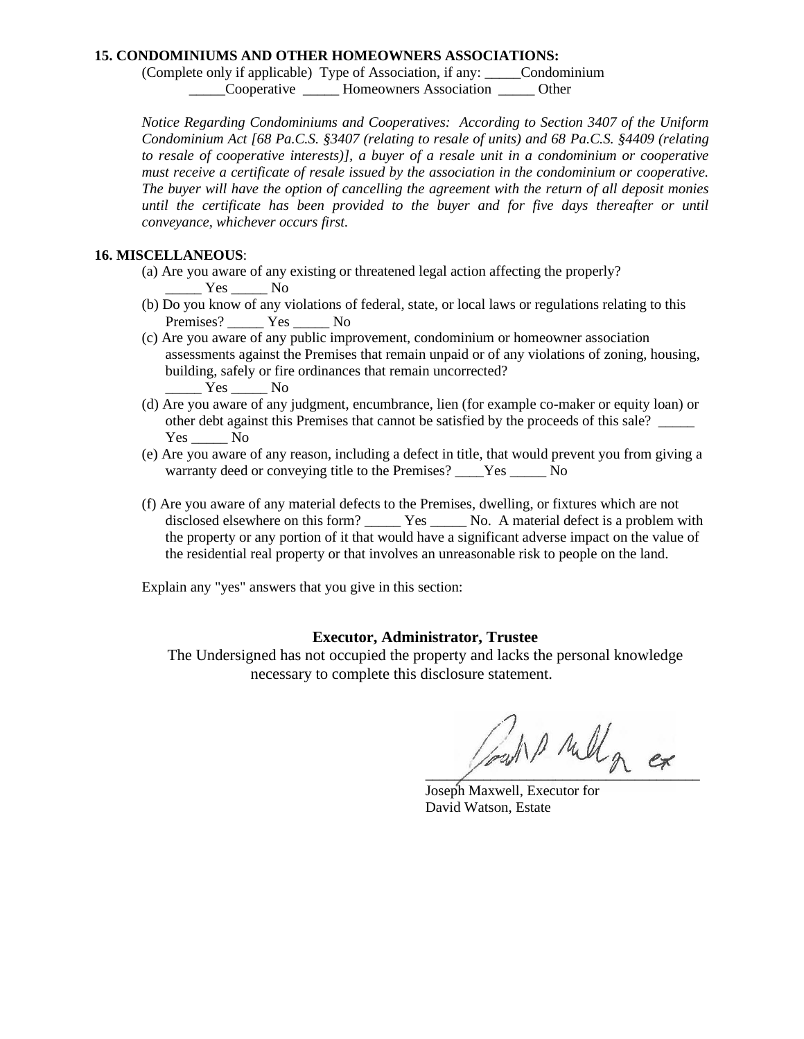### **15. CONDOMINIUMS AND OTHER HOMEOWNERS ASSOCIATIONS:**

(Complete only if applicable) Type of Association, if any: \_\_\_\_\_Condominium \_\_\_\_\_Cooperative \_\_\_\_\_ Homeowners Association \_\_\_\_\_ Other

*Notice Regarding Condominiums and Cooperatives: According to Section 3407 of the Uniform Condominium Act [68 Pa.C.S. §3407 (relating to resale of units) and 68 Pa.C.S. §4409 (relating to resale of cooperative interests)], a buyer of a resale unit in a condominium or cooperative must receive a certificate of resale issued by the association in the condominium or cooperative. The buyer will have the option of cancelling the agreement with the return of all deposit monies until the certificate has been provided to the buyer and for five days thereafter or until conveyance, whichever occurs first.* 

## **16. MISCELLANEOUS**:

- (a) Are you aware of any existing or threatened legal action affecting the properly? Yes No
- (b) Do you know of any violations of federal, state, or local laws or regulations relating to this Premises? \_\_\_\_\_\_ Yes \_\_\_\_\_\_ No
- (c) Are you aware of any public improvement, condominium or homeowner association assessments against the Premises that remain unpaid or of any violations of zoning, housing, building, safely or fire ordinances that remain uncorrected?  $\frac{Y_{\text{res}}}{Y_{\text{res}}-Y_{\text{res}}}$  No
- (d) Are you aware of any judgment, encumbrance, lien (for example co-maker or equity loan) or other debt against this Premises that cannot be satisfied by the proceeds of this sale? \_\_\_\_\_  $Yes$  No
- (e) Are you aware of any reason, including a defect in title, that would prevent you from giving a warranty deed or conveying title to the Premises? Yes No
- (f) Are you aware of any material defects to the Premises, dwelling, or fixtures which are not disclosed elsewhere on this form? \_\_\_\_\_\_ Yes \_\_\_\_\_\_ No. A material defect is a problem with the property or any portion of it that would have a significant adverse impact on the value of the residential real property or that involves an unreasonable risk to people on the land.

Explain any "yes" answers that you give in this section:

## **Executor, Administrator, Trustee**

The Undersigned has not occupied the property and lacks the personal knowledge necessary to complete this disclosure statement.

and rull a ex

Joseph Maxwell, Executor for David Watson, Estate